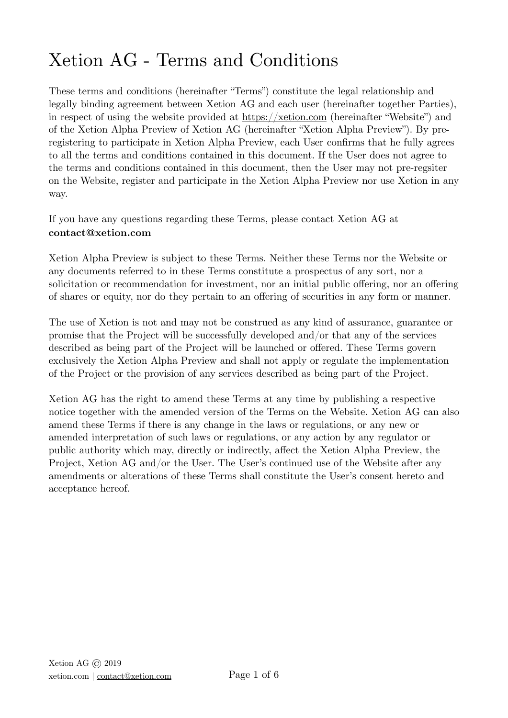# Xetion AG - Terms and Conditions

These terms and conditions (hereinafter "Terms") constitute the legal relationship and legally binding agreement between Xetion AG and each user (hereinafter together Parties), in respect of using the website provided at <https://xetion.com> (hereinafter "Website") and of the Xetion Alpha Preview of Xetion AG (hereinafter "Xetion Alpha Preview"). By preregistering to participate in Xetion Alpha Preview, each User confirms that he fully agrees to all the terms and conditions contained in this document. If the User does not agree to the terms and conditions contained in this document, then the User may not pre-regsiter on the Website, register and participate in the Xetion Alpha Preview nor use Xetion in any way.

If you have any questions regarding these Terms, please contact Xetion AG at **contact@xetion.com**

Xetion Alpha Preview is subject to these Terms. Neither these Terms nor the Website or any documents referred to in these Terms constitute a prospectus of any sort, nor a solicitation or recommendation for investment, nor an initial public offering, nor an offering of shares or equity, nor do they pertain to an offering of securities in any form or manner.

The use of Xetion is not and may not be construed as any kind of assurance, guarantee or promise that the Project will be successfully developed and/or that any of the services described as being part of the Project will be launched or offered. These Terms govern exclusively the Xetion Alpha Preview and shall not apply or regulate the implementation of the Project or the provision of any services described as being part of the Project.

Xetion AG has the right to amend these Terms at any time by publishing a respective notice together with the amended version of the Terms on the Website. Xetion AG can also amend these Terms if there is any change in the laws or regulations, or any new or amended interpretation of such laws or regulations, or any action by any regulator or public authority which may, directly or indirectly, affect the Xetion Alpha Preview, the Project, Xetion AG and/or the User. The User's continued use of the Website after any amendments or alterations of these Terms shall constitute the User's consent hereto and acceptance hereof.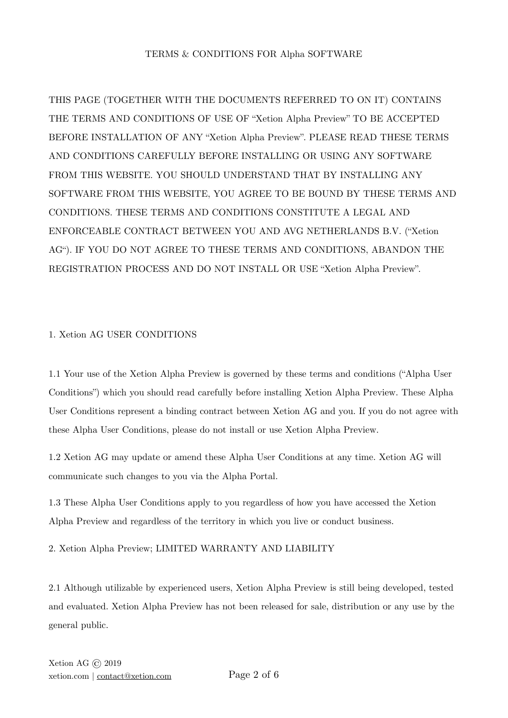# TERMS & CONDITIONS FOR Alpha SOFTWARE

THIS PAGE (TOGETHER WITH THE DOCUMENTS REFERRED TO ON IT) CONTAINS THE TERMS AND CONDITIONS OF USE OF "Xetion Alpha Preview" TO BE ACCEPTED BEFORE INSTALLATION OF ANY "Xetion Alpha Preview". PLEASE READ THESE TERMS AND CONDITIONS CAREFULLY BEFORE INSTALLING OR USING ANY SOFTWARE FROM THIS WEBSITE. YOU SHOULD UNDERSTAND THAT BY INSTALLING ANY SOFTWARE FROM THIS WEBSITE, YOU AGREE TO BE BOUND BY THESE TERMS AND CONDITIONS. THESE TERMS AND CONDITIONS CONSTITUTE A LEGAL AND ENFORCEABLE CONTRACT BETWEEN YOU AND AVG NETHERLANDS B.V. ("Xetion AG"). IF YOU DO NOT AGREE TO THESE TERMS AND CONDITIONS, ABANDON THE REGISTRATION PROCESS AND DO NOT INSTALL OR USE "Xetion Alpha Preview".

## 1. Xetion AG USER CONDITIONS

1.1 Your use of the Xetion Alpha Preview is governed by these terms and conditions ("Alpha User Conditions") which you should read carefully before installing Xetion Alpha Preview. These Alpha User Conditions represent a binding contract between Xetion AG and you. If you do not agree with these Alpha User Conditions, please do not install or use Xetion Alpha Preview.

1.2 Xetion AG may update or amend these Alpha User Conditions at any time. Xetion AG will communicate such changes to you via the Alpha Portal.

1.3 These Alpha User Conditions apply to you regardless of how you have accessed the Xetion Alpha Preview and regardless of the territory in which you live or conduct business.

2. Xetion Alpha Preview; LIMITED WARRANTY AND LIABILITY

2.1 Although utilizable by experienced users, Xetion Alpha Preview is still being developed, tested and evaluated. Xetion Alpha Preview has not been released for sale, distribution or any use by the general public.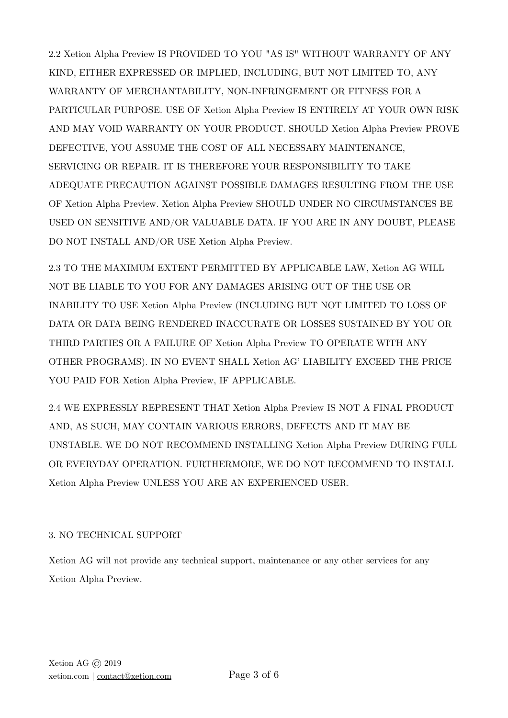2.2 Xetion Alpha Preview IS PROVIDED TO YOU "AS IS" WITHOUT WARRANTY OF ANY KIND, EITHER EXPRESSED OR IMPLIED, INCLUDING, BUT NOT LIMITED TO, ANY WARRANTY OF MERCHANTABILITY, NON-INFRINGEMENT OR FITNESS FOR A PARTICULAR PURPOSE. USE OF Xetion Alpha Preview IS ENTIRELY AT YOUR OWN RISK AND MAY VOID WARRANTY ON YOUR PRODUCT. SHOULD Xetion Alpha Preview PROVE DEFECTIVE, YOU ASSUME THE COST OF ALL NECESSARY MAINTENANCE, SERVICING OR REPAIR. IT IS THEREFORE YOUR RESPONSIBILITY TO TAKE ADEQUATE PRECAUTION AGAINST POSSIBLE DAMAGES RESULTING FROM THE USE OF Xetion Alpha Preview. Xetion Alpha Preview SHOULD UNDER NO CIRCUMSTANCES BE USED ON SENSITIVE AND/OR VALUABLE DATA. IF YOU ARE IN ANY DOUBT, PLEASE DO NOT INSTALL AND/OR USE Xetion Alpha Preview.

2.3 TO THE MAXIMUM EXTENT PERMITTED BY APPLICABLE LAW, Xetion AG WILL NOT BE LIABLE TO YOU FOR ANY DAMAGES ARISING OUT OF THE USE OR INABILITY TO USE Xetion Alpha Preview (INCLUDING BUT NOT LIMITED TO LOSS OF DATA OR DATA BEING RENDERED INACCURATE OR LOSSES SUSTAINED BY YOU OR THIRD PARTIES OR A FAILURE OF Xetion Alpha Preview TO OPERATE WITH ANY OTHER PROGRAMS). IN NO EVENT SHALL Xetion AG' LIABILITY EXCEED THE PRICE YOU PAID FOR Xetion Alpha Preview, IF APPLICABLE.

2.4 WE EXPRESSLY REPRESENT THAT Xetion Alpha Preview IS NOT A FINAL PRODUCT AND, AS SUCH, MAY CONTAIN VARIOUS ERRORS, DEFECTS AND IT MAY BE UNSTABLE. WE DO NOT RECOMMEND INSTALLING Xetion Alpha Preview DURING FULL OR EVERYDAY OPERATION. FURTHERMORE, WE DO NOT RECOMMEND TO INSTALL Xetion Alpha Preview UNLESS YOU ARE AN EXPERIENCED USER.

# 3. NO TECHNICAL SUPPORT

Xetion AG will not provide any technical support, maintenance or any other services for any Xetion Alpha Preview.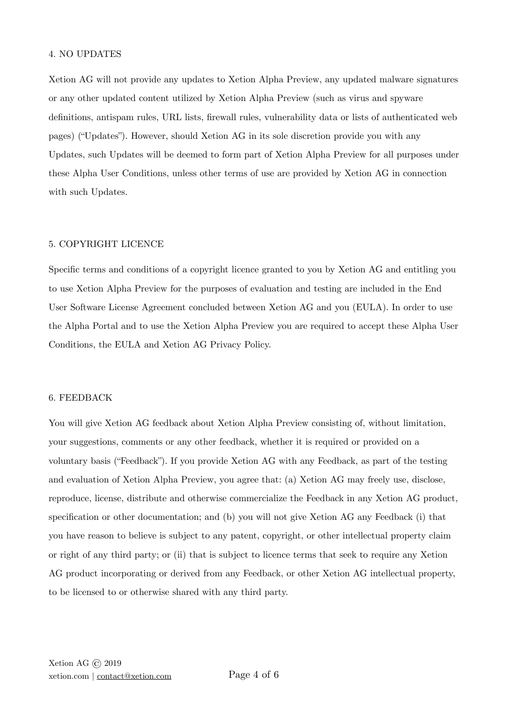#### 4. NO UPDATES

Xetion AG will not provide any updates to Xetion Alpha Preview, any updated malware signatures or any other updated content utilized by Xetion Alpha Preview (such as virus and spyware definitions, antispam rules, URL lists, firewall rules, vulnerability data or lists of authenticated web pages) ("Updates"). However, should Xetion AG in its sole discretion provide you with any Updates, such Updates will be deemed to form part of Xetion Alpha Preview for all purposes under these Alpha User Conditions, unless other terms of use are provided by Xetion AG in connection with such Updates.

#### 5. COPYRIGHT LICENCE

Specific terms and conditions of a copyright licence granted to you by Xetion AG and entitling you to use Xetion Alpha Preview for the purposes of evaluation and testing are included in the End User Software License Agreement concluded between Xetion AG and you (EULA). In order to use the Alpha Portal and to use the Xetion Alpha Preview you are required to accept these Alpha User Conditions, the EULA and Xetion AG [Privacy Policy.](https://www.avg.com/en-gb/privacy)

#### 6. FEEDBACK

You will give Xetion AG feedback about Xetion Alpha Preview consisting of, without limitation, your suggestions, comments or any other feedback, whether it is required or provided on a voluntary basis ("Feedback"). If you provide Xetion AG with any Feedback, as part of the testing and evaluation of Xetion Alpha Preview, you agree that: (a) Xetion AG may freely use, disclose, reproduce, license, distribute and otherwise commercialize the Feedback in any Xetion AG product, specification or other documentation; and (b) you will not give Xetion AG any Feedback (i) that you have reason to believe is subject to any patent, copyright, or other intellectual property claim or right of any third party; or (ii) that is subject to licence terms that seek to require any Xetion AG product incorporating or derived from any Feedback, or other Xetion AG intellectual property, to be licensed to or otherwise shared with any third party.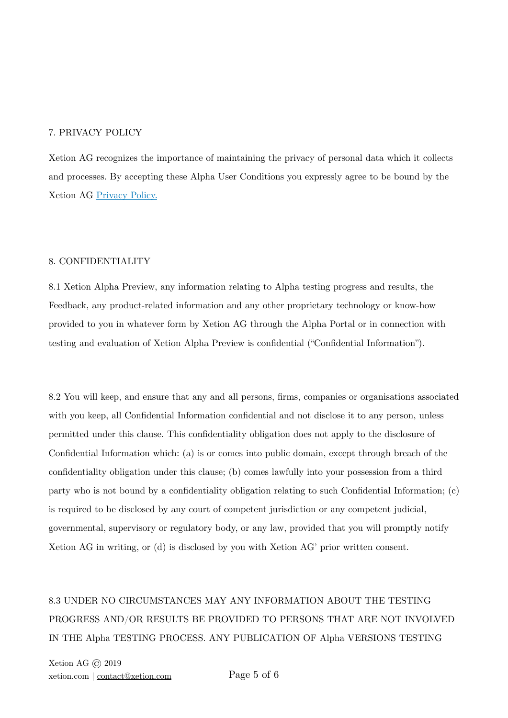#### 7. PRIVACY POLICY

Xetion AG recognizes the importance of maintaining the privacy of personal data which it collects and processes. By accepting these Alpha User Conditions you expressly agree to be bound by the Xetion AG [Privacy Policy.](https://xetion.com/Xetion-AG-Privacy-Policy.pdf)

#### 8. CONFIDENTIALITY

8.1 Xetion Alpha Preview, any information relating to Alpha testing progress and results, the Feedback, any product-related information and any other proprietary technology or know-how provided to you in whatever form by Xetion AG through the Alpha Portal or in connection with testing and evaluation of Xetion Alpha Preview is confidential ("Confidential Information").

8.2 You will keep, and ensure that any and all persons, firms, companies or organisations associated with you keep, all Confidential Information confidential and not disclose it to any person, unless permitted under this clause. This confidentiality obligation does not apply to the disclosure of Confidential Information which: (a) is or comes into public domain, except through breach of the confidentiality obligation under this clause; (b) comes lawfully into your possession from a third party who is not bound by a confidentiality obligation relating to such Confidential Information; (c) is required to be disclosed by any court of competent jurisdiction or any competent judicial, governmental, supervisory or regulatory body, or any law, provided that you will promptly notify Xetion AG in writing, or (d) is disclosed by you with Xetion AG' prior written consent.

# 8.3 UNDER NO CIRCUMSTANCES MAY ANY INFORMATION ABOUT THE TESTING PROGRESS AND/OR RESULTS BE PROVIDED TO PERSONS THAT ARE NOT INVOLVED IN THE Alpha TESTING PROCESS. ANY PUBLICATION OF Alpha VERSIONS TESTING